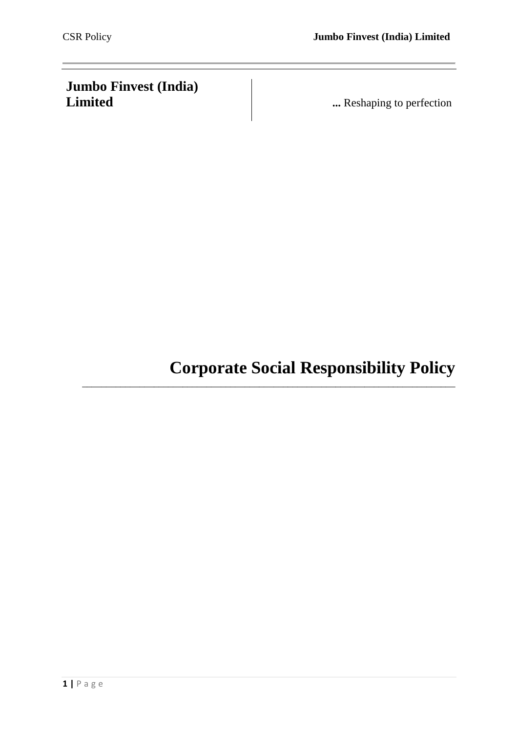# **Jumbo Finvest (India)**

**...** Reshaping to perfection

**Corporate Social Responsibility Policy**

\_\_\_\_\_\_\_\_\_\_\_\_\_\_\_\_\_\_\_\_\_\_\_\_\_\_\_\_\_\_\_\_\_\_\_\_\_\_\_\_\_\_\_\_\_\_\_\_\_\_\_\_\_\_\_\_\_\_\_\_\_\_\_\_\_\_\_\_\_\_\_\_\_\_\_\_\_\_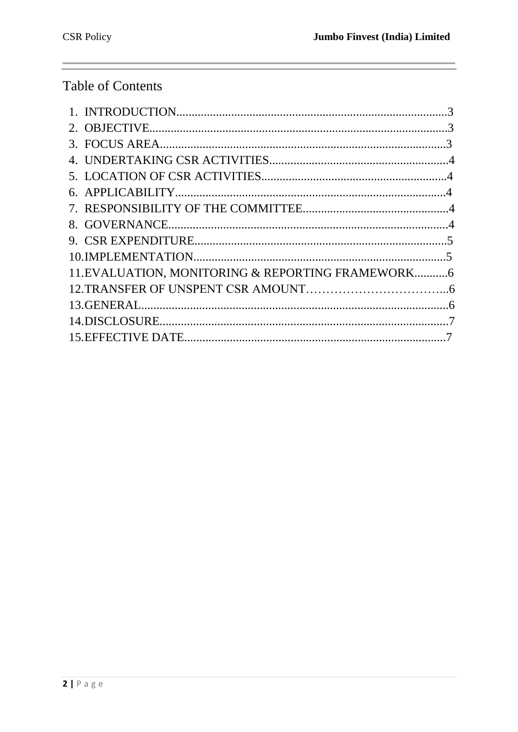# Table of Contents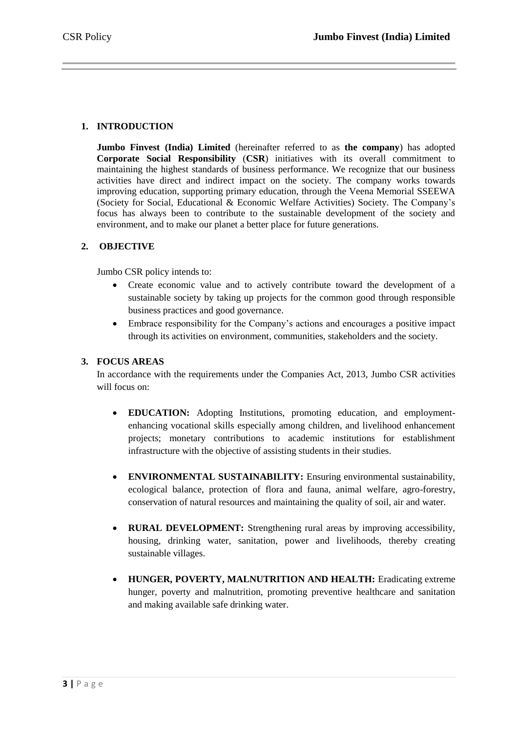# **1. INTRODUCTION**

**Jumbo Finvest (India) Limited** (hereinafter referred to as **the company**) has adopted **Corporate Social Responsibility** (**CSR**) initiatives with its overall commitment to maintaining the highest standards of business performance. We recognize that our business activities have direct and indirect impact on the society. The company works towards improving education, supporting primary education, through the Veena Memorial SSEEWA (Society for Social, Educational & Economic Welfare Activities) Society. The Company's focus has always been to contribute to the sustainable development of the society and environment, and to make our planet a better place for future generations.

# **2. OBJECTIVE**

Jumbo CSR policy intends to:

- Create economic value and to actively contribute toward the development of a sustainable society by taking up projects for the common good through responsible business practices and good governance.
- Embrace responsibility for the Company's actions and encourages a positive impact through its activities on environment, communities, stakeholders and the society.

#### **3. FOCUS AREAS**

In accordance with the requirements under the Companies Act, 2013, Jumbo CSR activities will focus on:

- **EDUCATION:** Adopting Institutions, promoting education, and employmentenhancing vocational skills especially among children, and livelihood enhancement projects; monetary contributions to academic institutions for establishment infrastructure with the objective of assisting students in their studies.
- **ENVIRONMENTAL SUSTAINABILITY:** Ensuring environmental sustainability, ecological balance, protection of flora and fauna, animal welfare, agro-forestry, conservation of natural resources and maintaining the quality of soil, air and water.
- **RURAL DEVELOPMENT:** Strengthening rural areas by improving accessibility, housing, drinking water, sanitation, power and livelihoods, thereby creating sustainable villages.
- **HUNGER, POVERTY, MALNUTRITION AND HEALTH:** Eradicating extreme hunger, poverty and malnutrition, promoting preventive healthcare and sanitation and making available safe drinking water.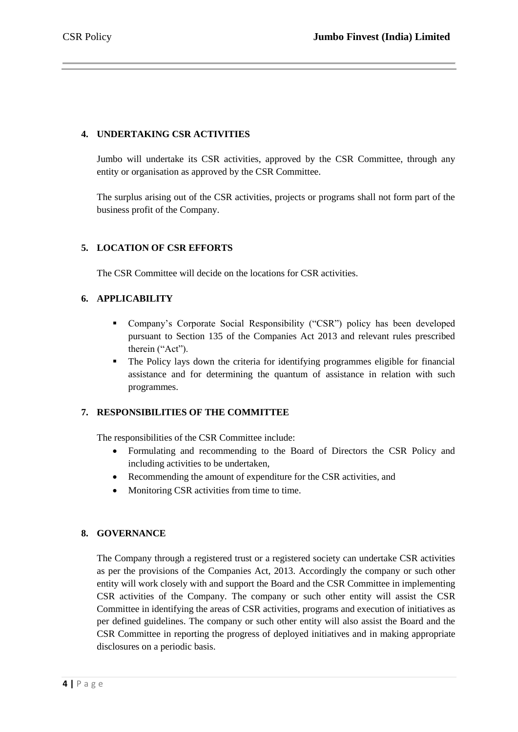# **4. UNDERTAKING CSR ACTIVITIES**

Jumbo will undertake its CSR activities, approved by the CSR Committee, through any entity or organisation as approved by the CSR Committee.

The surplus arising out of the CSR activities, projects or programs shall not form part of the business profit of the Company.

# **5. LOCATION OF CSR EFFORTS**

The CSR Committee will decide on the locations for CSR activities.

# **6. APPLICABILITY**

- Company's Corporate Social Responsibility ("CSR") policy has been developed pursuant to Section 135 of the Companies Act 2013 and relevant rules prescribed therein ("Act").
- The Policy lays down the criteria for identifying programmes eligible for financial assistance and for determining the quantum of assistance in relation with such programmes.

#### **7. RESPONSIBILITIES OF THE COMMITTEE**

The responsibilities of the CSR Committee include:

- Formulating and recommending to the Board of Directors the CSR Policy and including activities to be undertaken,
- Recommending the amount of expenditure for the CSR activities, and
- Monitoring CSR activities from time to time.

#### **8. GOVERNANCE**

The Company through a registered trust or a registered society can undertake CSR activities as per the provisions of the Companies Act, 2013. Accordingly the company or such other entity will work closely with and support the Board and the CSR Committee in implementing CSR activities of the Company. The company or such other entity will assist the CSR Committee in identifying the areas of CSR activities, programs and execution of initiatives as per defined guidelines. The company or such other entity will also assist the Board and the CSR Committee in reporting the progress of deployed initiatives and in making appropriate disclosures on a periodic basis.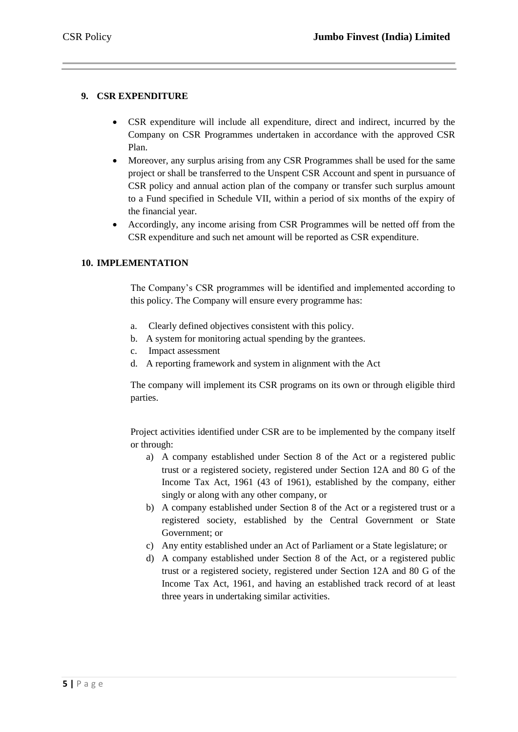# **9. CSR EXPENDITURE**

- CSR expenditure will include all expenditure, direct and indirect, incurred by the Company on CSR Programmes undertaken in accordance with the approved CSR Plan.
- Moreover, any surplus arising from any CSR Programmes shall be used for the same project or shall be transferred to the Unspent CSR Account and spent in pursuance of CSR policy and annual action plan of the company or transfer such surplus amount to a Fund specified in Schedule VII, within a period of six months of the expiry of the financial year.
- Accordingly, any income arising from CSR Programmes will be netted off from the CSR expenditure and such net amount will be reported as CSR expenditure.

# **10. IMPLEMENTATION**

The Company's CSR programmes will be identified and implemented according to this policy. The Company will ensure every programme has:

- a. Clearly defined objectives consistent with this policy.
- b. A system for monitoring actual spending by the grantees.
- c. Impact assessment
- d. A reporting framework and system in alignment with the Act

The company will implement its CSR programs on its own or through eligible third parties.

Project activities identified under CSR are to be implemented by the company itself or through:

- a) A company established under Section 8 of the Act or a registered public trust or a registered society, registered under Section 12A and 80 G of the Income Tax Act, 1961 (43 of 1961), established by the company, either singly or along with any other company, or
- b) A company established under Section 8 of the Act or a registered trust or a registered society, established by the Central Government or State Government; or
- c) Any entity established under an Act of Parliament or a State legislature; or
- d) A company established under Section 8 of the Act, or a registered public trust or a registered society, registered under Section 12A and 80 G of the Income Tax Act, 1961, and having an established track record of at least three years in undertaking similar activities.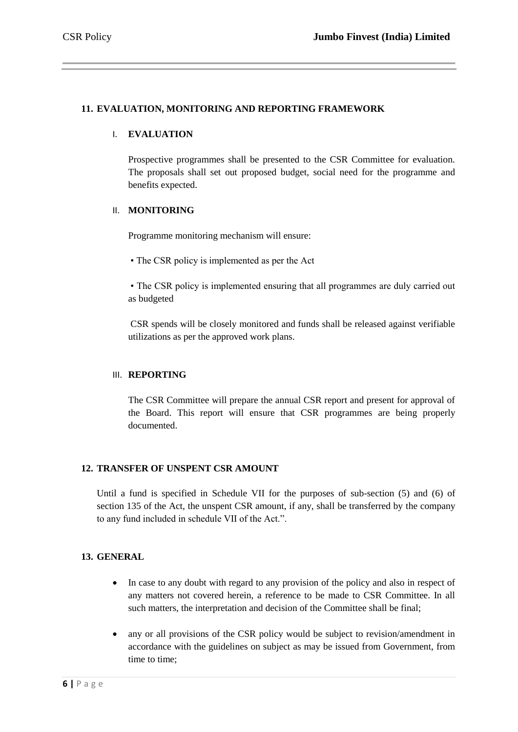# **11. EVALUATION, MONITORING AND REPORTING FRAMEWORK**

#### I. **EVALUATION**

Prospective programmes shall be presented to the CSR Committee for evaluation. The proposals shall set out proposed budget, social need for the programme and benefits expected.

#### II. **MONITORING**

Programme monitoring mechanism will ensure:

• The CSR policy is implemented as per the Act

• The CSR policy is implemented ensuring that all programmes are duly carried out as budgeted

CSR spends will be closely monitored and funds shall be released against verifiable utilizations as per the approved work plans.

#### III. **REPORTING**

The CSR Committee will prepare the annual CSR report and present for approval of the Board. This report will ensure that CSR programmes are being properly documented.

#### **12. TRANSFER OF UNSPENT CSR AMOUNT**

Until a fund is specified in Schedule VII for the purposes of sub-section (5) and (6) of section 135 of the Act, the unspent CSR amount, if any, shall be transferred by the company to any fund included in schedule VII of the Act.".

#### **13. GENERAL**

- In case to any doubt with regard to any provision of the policy and also in respect of any matters not covered herein, a reference to be made to CSR Committee. In all such matters, the interpretation and decision of the Committee shall be final;
- any or all provisions of the CSR policy would be subject to revision/amendment in accordance with the guidelines on subject as may be issued from Government, from time to time;